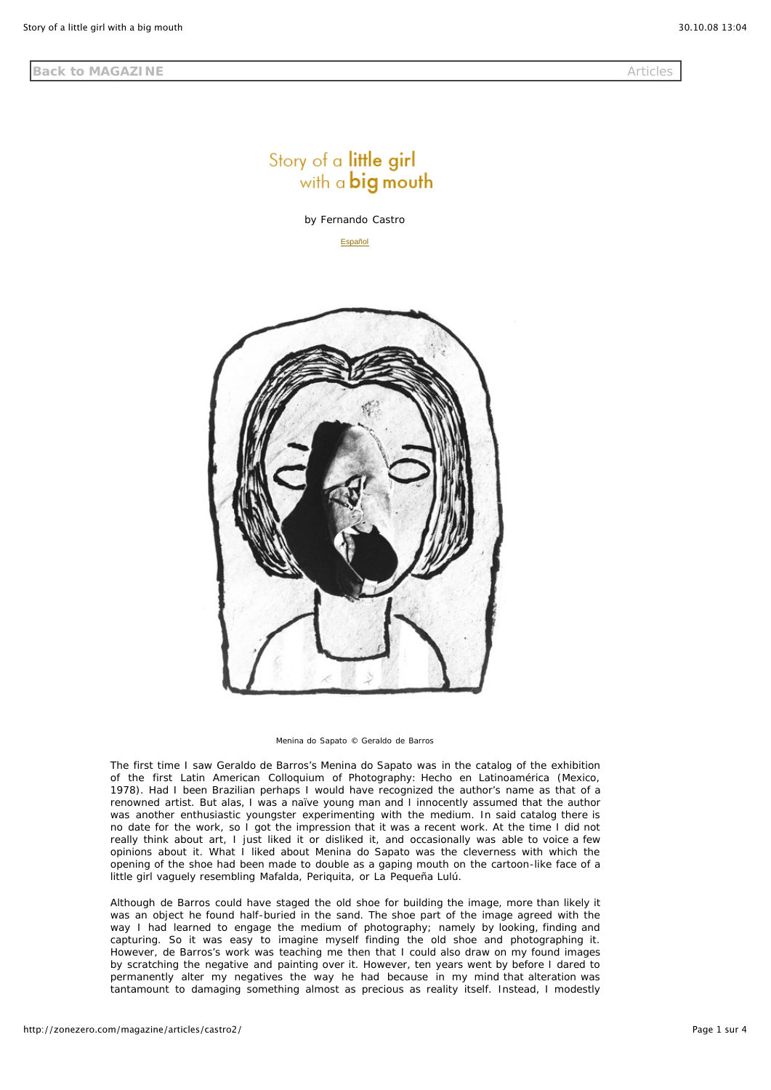## Story of a little girl with a big mouth

*by Fernando Castro*

Español



*Menina do Sapato* © Geraldo de Barros

The first time I saw Geraldo de Barros's *Menina do Sapato* was in the catalog of the exhibition of the first Latin American Colloquium of Photography: *Hecho en Latinoamérica* (Mexico, 1978). Had I been Brazilian perhaps I would have recognized the author's name as that of a renowned artist. But alas, I was a naïve young man and I innocently assumed that the author was another enthusiastic youngster experimenting with the medium. In said catalog there is no date for the work, so I got the impression that it was a recent work. At the time I did not really think about art, I just liked it or disliked it, and occasionally was able to voice a few opinions about it. What I liked about *Menina do Sapato* was the cleverness with which the opening of the shoe had been made to double as a gaping mouth on the cartoon-like face of a little girl vaguely resembling Mafalda, Periquita, or La Pequeña Lulú.

Although de Barros could have staged the old shoe for building the image, more than likely it was an object he found half-buried in the sand. The shoe part of the image agreed with the way I had learned to engage the medium of photography; namely by looking, finding and capturing. So it was easy to imagine myself finding the old shoe and photographing it. However, de Barros's work was teaching me then that I could also draw on my found images by scratching the negative and painting over it. However, ten years went by before I dared to permanently alter my negatives the way he had because in my mind that alteration was tantamount to damaging something almost as precious as reality itself. Instead, I modestly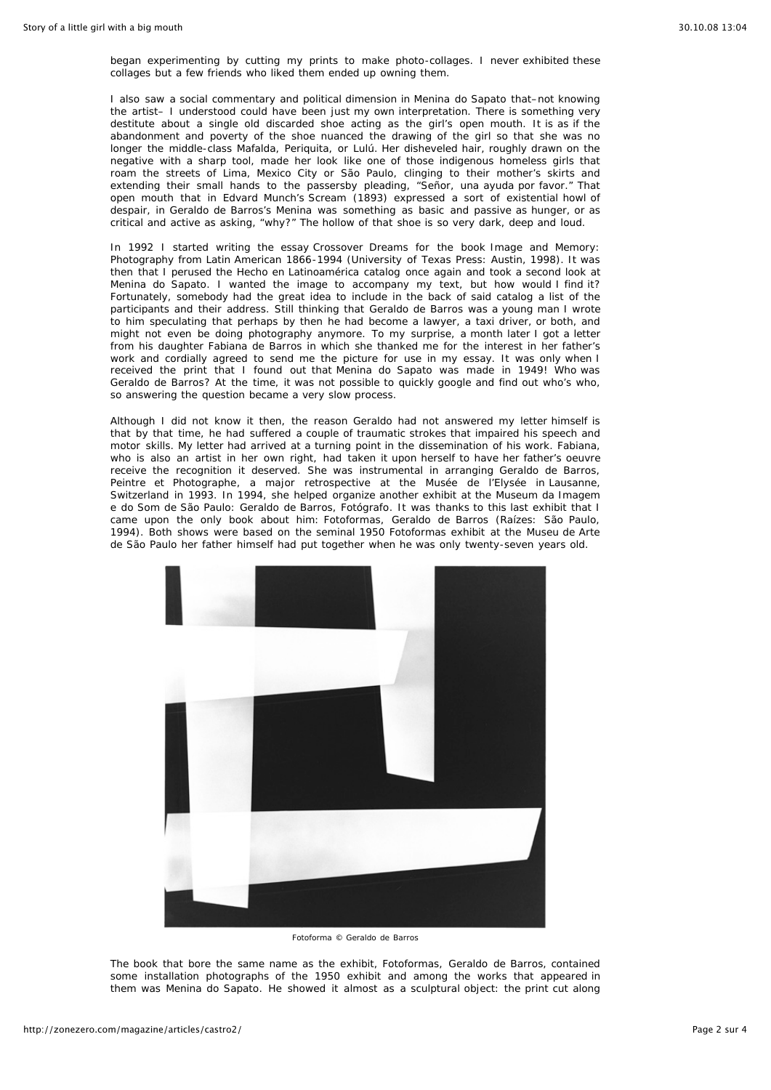began experimenting by cutting my prints to make photo-collages. I never exhibited these collages but a few friends who liked them ended up owning them.

I also saw a social commentary and political dimension in *Menina do Sapato* that–not knowing the artist– I understood could have been just my own interpretation. There is something very destitute about a single old discarded shoe acting as the girl's open mouth. It is as if the abandonment and poverty of the shoe nuanced the drawing of the girl so that she was no longer the middle-class Mafalda, Periquita, or Lulú. Her disheveled hair, roughly drawn on the negative with a sharp tool, made her look like one of those indigenous homeless girls that roam the streets of Lima, Mexico City or São Paulo, clinging to their mother's skirts and extending their small hands to the passersby pleading, "Señor, una ayuda por favor." That open mouth that in Edvard Munch's *Scream* (1893) expressed a sort of existential howl of despair, in Geraldo de Barros's *Menina* was something as basic and passive as hunger, or as critical and active as asking, "why?" The hollow of that shoe is so very dark, deep and loud.

In 1992 I started writing the essay *Crossover Dreams* for the book *Image and Memory: Photography from Latin American 1866-1994* (University of Texas Press: Austin, 1998). It was then that I perused the *Hecho en Latinoamérica* catalog once again and took a second look at *Menina do Sapato*. I wanted the image to accompany my text, but how would I find it? Fortunately, somebody had the great idea to include in the back of said catalog a list of the participants and their address. Still thinking that Geraldo de Barros was a young man I wrote to him speculating that perhaps by then he had become a lawyer, a taxi driver, or both, and might not even be doing photography anymore. To my surprise, a month later I got a letter from his daughter Fabiana de Barros in which she thanked me for the interest in her father's work and cordially agreed to send me the picture for use in my essay. It was only when I received the print that I found out that *Menina do Sapato* was made in 1949! Who was Geraldo de Barros? At the time, it was not possible to quickly google and find out who's who, so answering the question became a very slow process.

Although I did not know it then, the reason Geraldo had not answered my letter himself is that by that time, he had suffered a couple of traumatic strokes that impaired his speech and motor skills. My letter had arrived at a turning point in the dissemination of his work. Fabiana, who is also an artist in her own right, had taken it upon herself to have her father's oeuvre receive the recognition it deserved. She was instrumental in arranging *Geraldo de Barros, Peintre et Photographe*, a major retrospective at the Musée de l'Elysée in Lausanne, Switzerland in 1993. In 1994, she helped organize another exhibit at the Museum da Imagem e do Som de São Paulo: *Geraldo de Barros, Fotógrafo*. It was thanks to this last exhibit that I came upon the only book about him: *Fotoformas, Geraldo de Barros* (Raízes: São Paulo, 1994). Both shows were based on the seminal 1950 *Fotoformas* exhibit at the Museu de Arte de São Paulo her father himself had put together when he was only twenty-seven years old.



*Fotoforma* © Geraldo de Barros

The book that bore the same name as the exhibit, *Fotoformas, Geraldo de Barros,* contained some installation photographs of the 1950 exhibit and among the works that appeared in them was *Menina do Sapato*. He showed it almost as a sculptural object: the print cut along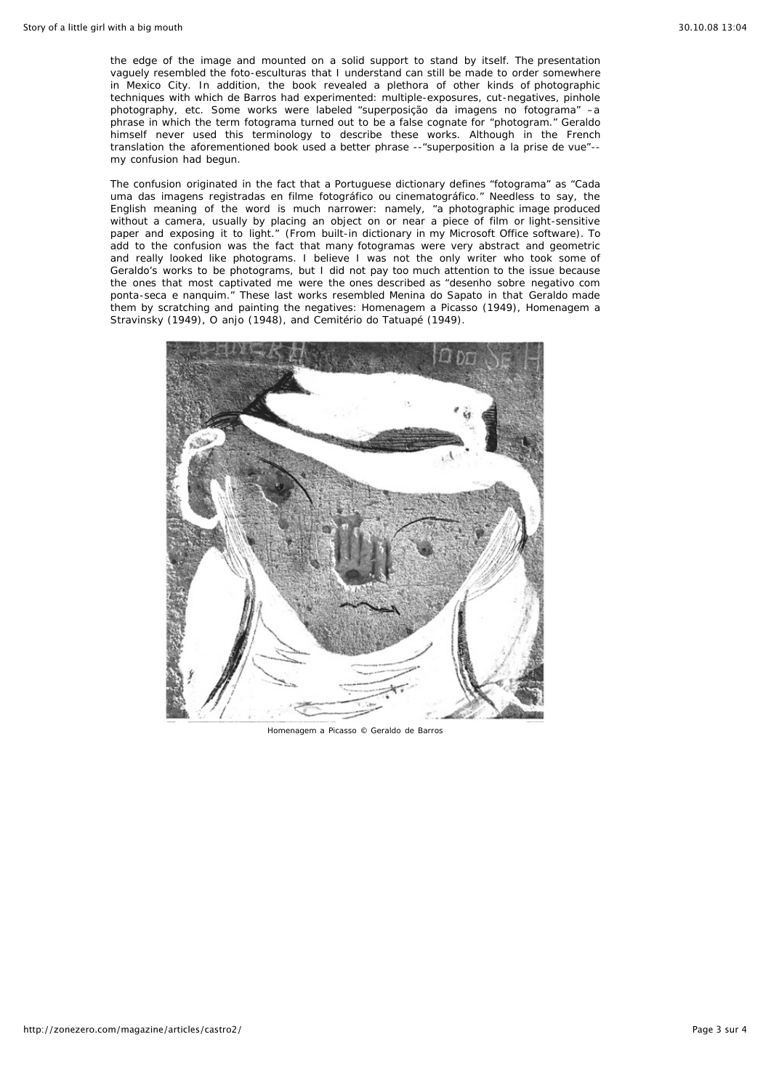the edge of the image and mounted on a solid support to stand by itself. The presentation vaguely resembled the *foto-esculturas* that I understand can still be made to order somewhere in Mexico City. In addition, the book revealed a plethora of other kinds of photographic techniques with which de Barros had experimented: multiple-exposures, cut-negatives, pinhole photography, etc. Some works were labeled "*superposição da imagens no fotograma"* –a phrase in which the term *fotograma* turned out to be a false cognate for "photogram." Geraldo himself never used this terminology to describe these works. Although in the French translation the aforementioned book used a better phrase --*"superposition a la prise de vue"-* my confusion had begun.

The confusion originated in the fact that a Portuguese dictionary defines "fotograma" as *"Cada uma das imagens registradas en filme fotográfico ou cinematográfico."* Needless to say, the English meaning of the word is much narrower: namely, "a photographic image produced without a camera, usually by placing an object on or near a piece of film or light-sensitive paper and exposing it to light." (From built-in dictionary in my Microsoft Office software). To add to the confusion was the fact that many *fotogramas* were very abstract and geometric and really looked like photograms. I believe I was not the only writer who took some of Geraldo's works to be photograms, but I did not pay too much attention to the issue because the ones that most captivated me were the ones described as *"desenho sobre negativo com ponta-seca e nanquim."* These last works resembled *Menina do Sapato* in that Geraldo made them by scratching and painting the negatives: *Homenagem a Picasso* (1949), *Homenagem a Stravinsky* (1949), *O anjo* (1948), and *Cemitério do Tatuapé* (1949).



*Homenagem a Picasso* © Geraldo de Barros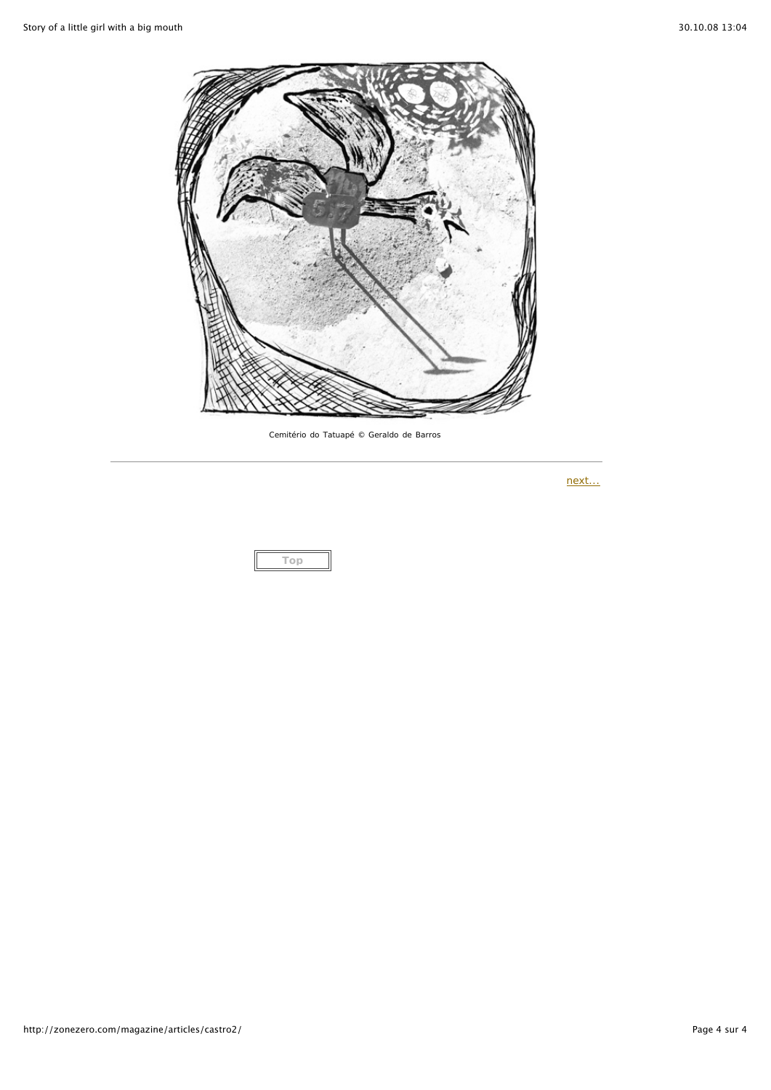

*Cemitério do Tatuapé* © Geraldo de Barros

*next...*

**Top**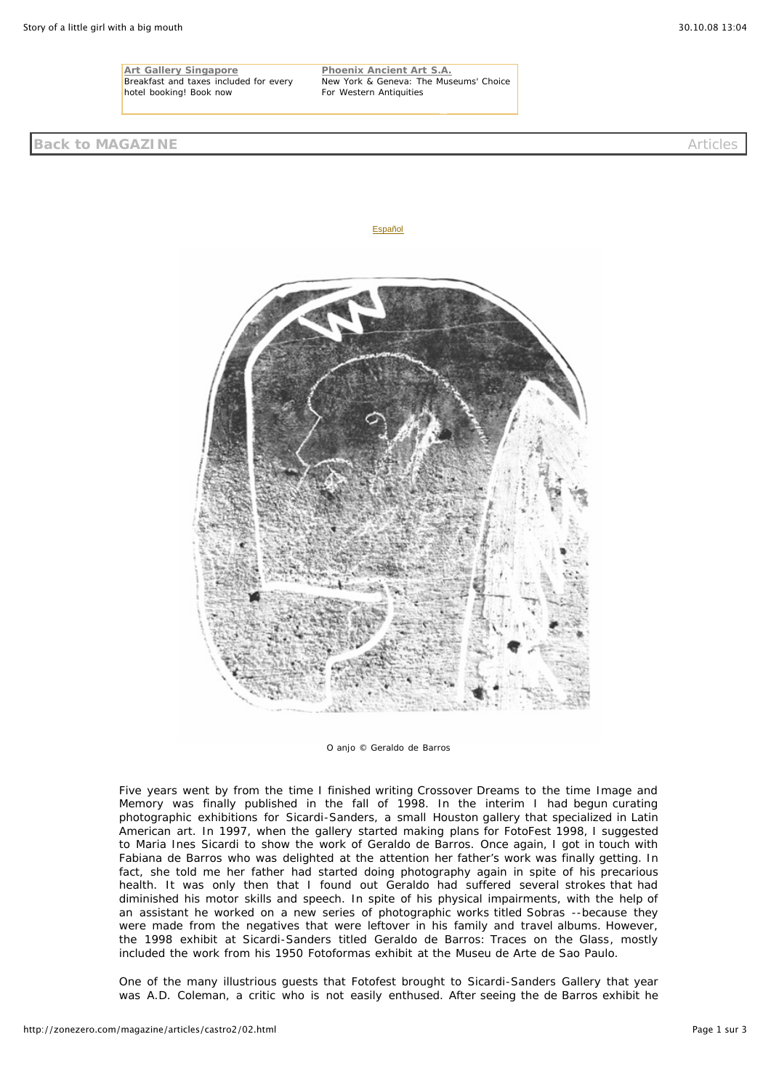**Art Gallery Singapore** Breakfast and taxes included for every hotel booking! Book now



**Phoenix Ancient Art S.A.**

For Western Antiquities

New York & Geneva: The Museums' Choice

*O anjo* © Geraldo de Barros

Five years went by from the time I finished writing *Crossover Dreams* to the time *Image and Memory* was finally published in the fall of 1998. In the interim I had begun curating photographic exhibitions for Sicardi-Sanders, a small Houston gallery that specialized in Latin American art. In 1997, when the gallery started making plans for FotoFest 1998, I suggested to Maria Ines Sicardi to show the work of Geraldo de Barros. Once again, I got in touch with Fabiana de Barros who was delighted at the attention her father's work was finally getting. In fact, she told me her father had started doing photography again in spite of his precarious health. It was only then that I found out Geraldo had suffered several strokes that had diminished his motor skills and speech. In spite of his physical impairments, with the help of an assistant he worked on a new series of photographic works titled *Sobras* --because they were made from the negatives that were leftover in his family and travel albums. However, the 1998 exhibit at Sicardi-Sanders titled Geraldo de Barros: *Traces on the Glass*, mostly included the work from his 1950 *Fotoformas* exhibit at the Museu de Arte de Sao Paulo.

One of the many illustrious guests that Fotofest brought to Sicardi-Sanders Gallery that year was A.D. Coleman, a critic who is not easily enthused. After seeing the de Barros exhibit he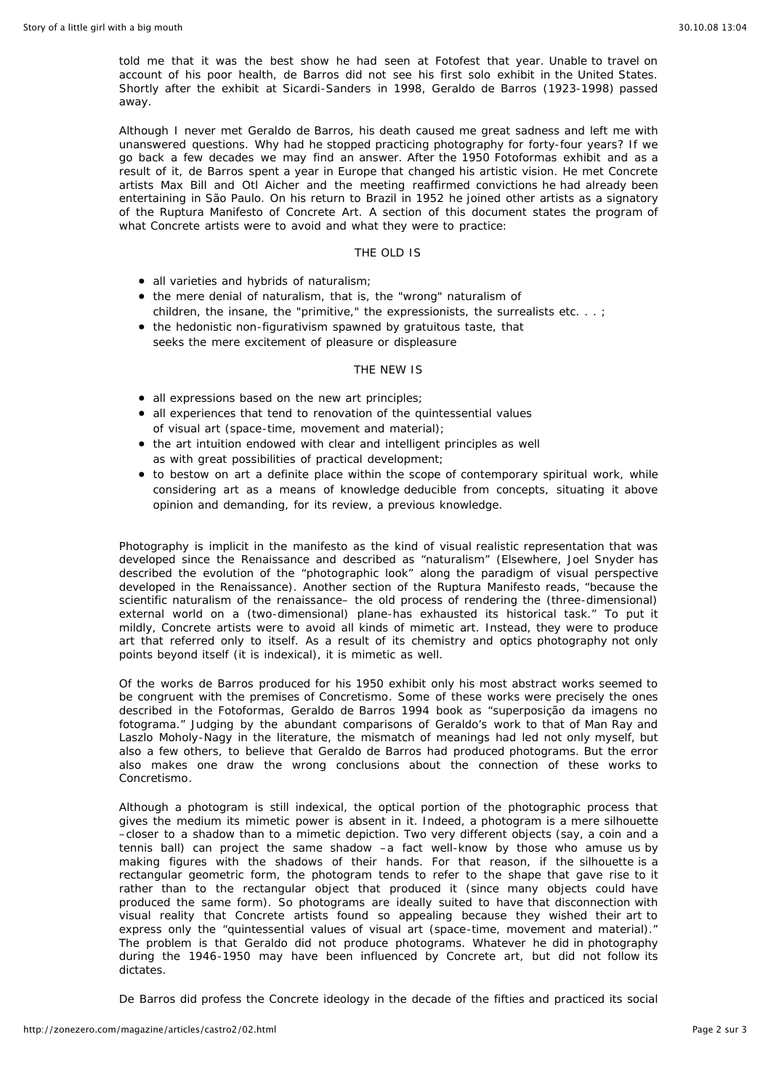told me that it was the best show he had seen at Fotofest that year. Unable to travel on account of his poor health, de Barros did not see his first solo exhibit in the United States. Shortly after the exhibit at Sicardi-Sanders in 1998, Geraldo de Barros (1923-1998) passed away.

Although I never met Geraldo de Barros, his death caused me great sadness and left me with unanswered questions. Why had he stopped practicing photography for forty-four years? If we go back a few decades we may find an answer. After the 1950 *Fotoformas* exhibit and as a result of it, de Barros spent a year in Europe that changed his artistic vision. He met Concrete artists Max Bill and Otl Aicher and the meeting reaffirmed convictions he had already been entertaining in São Paulo. On his return to Brazil in 1952 he joined other artists as a signatory of the *Ruptura Manifesto* of Concrete Art. A section of this document states the program of what Concrete artists were to avoid and what they were to practice:

## THE OLD IS

- all varieties and hybrids of naturalism;
- the mere denial of naturalism, that is, the "wrong" naturalism of children, the insane, the "primitive," the expressionists, the surrealists etc. . . ;
- the hedonistic non-figurativism spawned by gratuitous taste, that seeks the mere excitement of pleasure or displeasure

## THE NEW IS

- all expressions based on the new art principles;
- all experiences that tend to renovation of the quintessential values of visual art (space-time, movement and material);
- the art intuition endowed with clear and intelligent principles as well as with great possibilities of practical development;
- to bestow on art a definite place within the scope of contemporary spiritual work, while considering art as a means of knowledge deducible from concepts, situating it above opinion and demanding, for its review, a previous knowledge.

Photography is implicit in the manifesto as the kind of visual realistic representation that was developed since the Renaissance and described as "naturalism" (Elsewhere, Joel Snyder has described the evolution of the "photographic look" along the paradigm of visual perspective developed in the Renaissance). Another section of the Ruptura Manifesto reads, "because the scientific naturalism of the renaissance– the old process of rendering the (three-dimensional) external world on a (two-dimensional) plane-has exhausted its historical task." To put it mildly, Concrete artists were to avoid all kinds of mimetic art. Instead, they were to produce art that referred only to itself. As a result of its chemistry and optics photography not only points beyond itself (it is indexical), it is mimetic as well.

Of the works de Barros produced for his 1950 exhibit only his most abstract works seemed to be congruent with the premises of *Concretismo*. Some of these works were precisely the ones described in the *Fotoformas, Geraldo de Barros* 1994 book as "*superposição da imagens no fotograma."* Judging by the abundant comparisons of Geraldo's work to that of Man Ray and Laszlo Moholy-Nagy in the literature, the mismatch of meanings had led not only myself, but also a few others, to believe that Geraldo de Barros had produced photograms. But the error also makes one draw the wrong conclusions about the connection of these works to *Concretismo*.

Although a photogram is still indexical, the optical portion of the photographic process that gives the medium its mimetic power is absent in it. Indeed, a photogram is a mere silhouette –closer to a shadow than to a mimetic depiction. Two very different objects (say, a coin and a tennis ball) can project the same shadow –a fact well-know by those who amuse us by making figures with the shadows of their hands. For that reason, if the silhouette is a rectangular geometric form, the photogram tends to refer to the shape that gave rise to it rather than to the rectangular object that produced it (since many objects could have produced the same form). So photograms are ideally suited to have that disconnection with visual reality that Concrete artists found so appealing because they wished their art to express only the "quintessential values of visual art (space-time, movement and material)." The problem is that Geraldo did not produce photograms. Whatever he did in photography during the 1946-1950 may have been influenced by Concrete art, but did not follow its dictates.

De Barros did profess the Concrete ideology in the decade of the fifties and practiced its social